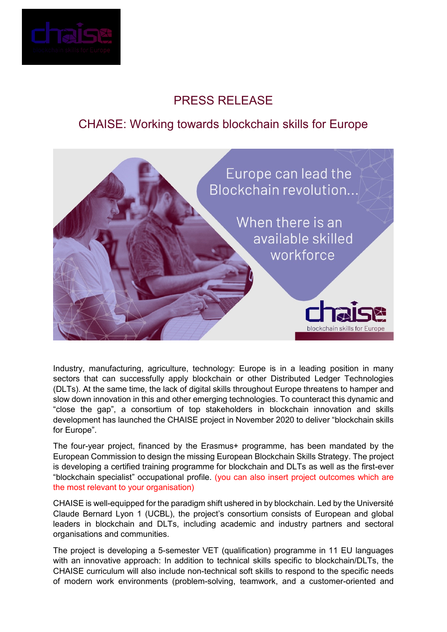

## PRESS RELEASE

## CHAISE: Working towards blockchain skills for Europe



Industry, manufacturing, agriculture, technology: Europe is in a leading position in many sectors that can successfully apply blockchain or other Distributed Ledger Technologies (DLTs). At the same time, the lack of digital skills throughout Europe threatens to hamper and slow down innovation in this and other emerging technologies. To counteract this dynamic and "close the gap", a consortium of top stakeholders in blockchain innovation and skills development has launched the CHAISE project in November 2020 to deliver "blockchain skills for Europe".

The four-year project, financed by the Erasmus+ programme, has been mandated by the European Commission to design the missing European Blockchain Skills Strategy. The project is developing a certified training programme for blockchain and DLTs as well as the first-ever "blockchain specialist" occupational profile. (you can also insert project outcomes which are the most relevant to your organisation)

CHAISE is well-equipped for the paradigm shift ushered in by blockchain. Led by the Université Claude Bernard Lyon 1 (UCBL), the project's consortium consists of European and global leaders in blockchain and DLTs, including academic and industry partners and sectoral organisations and communities.

The project is developing a 5-semester VET (qualification) programme in 11 EU languages with an innovative approach: In addition to technical skills specific to blockchain/DLTs, the CHAISE curriculum will also include non-technical soft skills to respond to the specific needs of modern work environments (problem-solving, teamwork, and a customer-oriented and